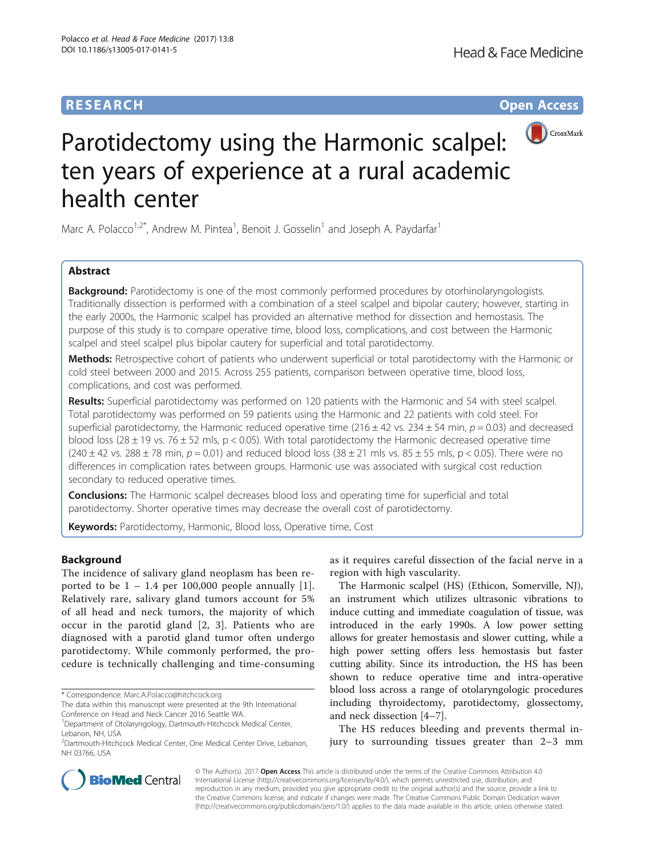# **RESEARCH CHINESE ARCH CHINESE ARCH CHINESE ARCH <b>CHINESE ARCH CHINESE ARCH CHINESE ARCH <b>CHINESE** ARCH **CHINESE ARCH** CHINESE ARCH **CHINESE ARCH** CHINESE ARCH **CHINESE ARCH 2014**



# Parotidectomy using the Harmonic scalpel: ten years of experience at a rural academic health center

Marc A. Polacco<sup>1,2\*</sup>, Andrew M. Pintea<sup>1</sup>, Benoit J. Gosselin<sup>1</sup> and Joseph A. Paydarfar<sup>1</sup>

# Abstract

**Background:** Parotidectomy is one of the most commonly performed procedures by otorhinolaryngologists. Traditionally dissection is performed with a combination of a steel scalpel and bipolar cautery; however, starting in the early 2000s, the Harmonic scalpel has provided an alternative method for dissection and hemostasis. The purpose of this study is to compare operative time, blood loss, complications, and cost between the Harmonic scalpel and steel scalpel plus bipolar cautery for superficial and total parotidectomy.

Methods: Retrospective cohort of patients who underwent superficial or total parotidectomy with the Harmonic or cold steel between 2000 and 2015. Across 255 patients, comparison between operative time, blood loss, complications, and cost was performed.

Results: Superficial parotidectomy was performed on 120 patients with the Harmonic and 54 with steel scalpel. Total parotidectomy was performed on 59 patients using the Harmonic and 22 patients with cold steel. For superficial parotidectomy, the Harmonic reduced operative time (216  $\pm$  42 vs. 234  $\pm$  54 min,  $p = 0.03$ ) and decreased blood loss (28  $\pm$  19 vs. 76  $\pm$  52 mls, p < 0.05). With total parotidectomy the Harmonic decreased operative time  $(240 \pm 42 \text{ vs. } 288 \pm 78 \text{ min}, p = 0.01)$  and reduced blood loss  $(38 \pm 21 \text{ m/s vs. } 85 \pm 55 \text{ m/s}, p < 0.05)$ . There were no differences in complication rates between groups. Harmonic use was associated with surgical cost reduction secondary to reduced operative times.

**Conclusions:** The Harmonic scalpel decreases blood loss and operating time for superficial and total parotidectomy. Shorter operative times may decrease the overall cost of parotidectomy.

Keywords: Parotidectomy, Harmonic, Blood loss, Operative time, Cost

# Background

The incidence of salivary gland neoplasm has been reported to be  $1 - 1.4$  per 100,000 people annually [[1\]](#page-4-0). Relatively rare, salivary gland tumors account for 5% of all head and neck tumors, the majority of which occur in the parotid gland [\[2](#page-4-0), [3](#page-4-0)]. Patients who are diagnosed with a parotid gland tumor often undergo parotidectomy. While commonly performed, the procedure is technically challenging and time-consuming

\* Correspondence: [Marc.A.Polacco@hitchcock.org](mailto:Marc.A.Polacco@hitchcock.org)

as it requires careful dissection of the facial nerve in a region with high vascularity.

The Harmonic scalpel (HS) (Ethicon, Somerville, NJ), an instrument which utilizes ultrasonic vibrations to induce cutting and immediate coagulation of tissue, was introduced in the early 1990s. A low power setting allows for greater hemostasis and slower cutting, while a high power setting offers less hemostasis but faster cutting ability. Since its introduction, the HS has been shown to reduce operative time and intra-operative blood loss across a range of otolaryngologic procedures including thyroidectomy, parotidectomy, glossectomy, and neck dissection [\[4](#page-4-0)–[7](#page-4-0)].

The HS reduces bleeding and prevents thermal injury to surrounding tissues greater than 2–3 mm



© The Author(s). 2017 **Open Access** This article is distributed under the terms of the Creative Commons Attribution 4.0 International License [\(http://creativecommons.org/licenses/by/4.0/](http://creativecommons.org/licenses/by/4.0/)), which permits unrestricted use, distribution, and reproduction in any medium, provided you give appropriate credit to the original author(s) and the source, provide a link to the Creative Commons license, and indicate if changes were made. The Creative Commons Public Domain Dedication waiver [\(http://creativecommons.org/publicdomain/zero/1.0/](http://creativecommons.org/publicdomain/zero/1.0/)) applies to the data made available in this article, unless otherwise stated.

The data within this manuscript were presented at the 9th International Conference on Head and Neck Cancer 2016 Seattle WA.

<sup>&</sup>lt;sup>1</sup>Department of Otolaryngology, Dartmouth-Hitchcock Medical Center, Lebanon, NH, USA

<sup>2</sup> Dartmouth-Hitchcock Medical Center, One Medical Center Drive, Lebanon, NH 03766, USA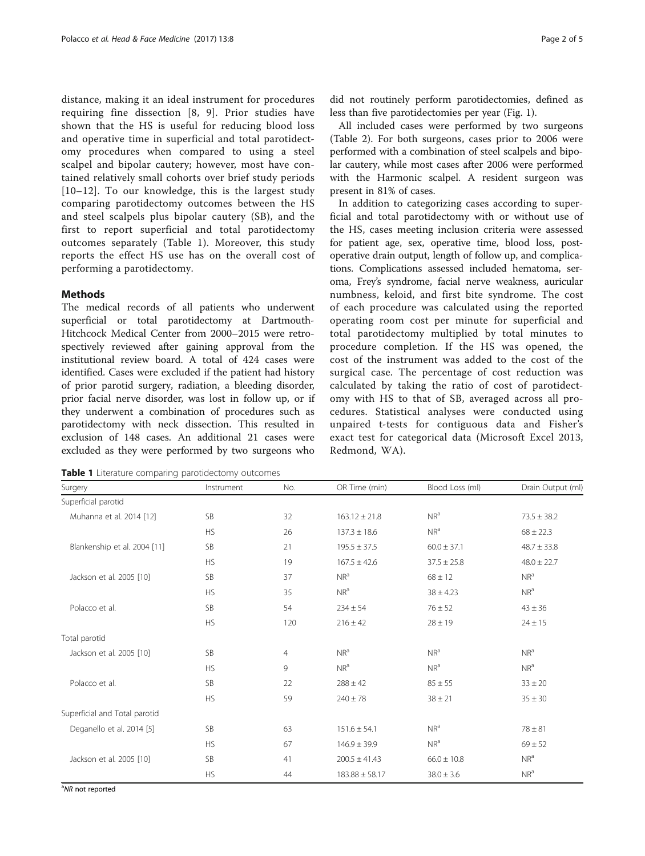<span id="page-1-0"></span>distance, making it an ideal instrument for procedures requiring fine dissection [[8, 9\]](#page-4-0). Prior studies have shown that the HS is useful for reducing blood loss and operative time in superficial and total parotidectomy procedures when compared to using a steel scalpel and bipolar cautery; however, most have contained relatively small cohorts over brief study periods [[10](#page-4-0)–[12\]](#page-4-0). To our knowledge, this is the largest study comparing parotidectomy outcomes between the HS and steel scalpels plus bipolar cautery (SB), and the first to report superficial and total parotidectomy outcomes separately (Table 1). Moreover, this study reports the effect HS use has on the overall cost of performing a parotidectomy.

# Methods

The medical records of all patients who underwent superficial or total parotidectomy at Dartmouth-Hitchcock Medical Center from 2000–2015 were retrospectively reviewed after gaining approval from the institutional review board. A total of 424 cases were identified. Cases were excluded if the patient had history of prior parotid surgery, radiation, a bleeding disorder, prior facial nerve disorder, was lost in follow up, or if they underwent a combination of procedures such as parotidectomy with neck dissection. This resulted in exclusion of 148 cases. An additional 21 cases were excluded as they were performed by two surgeons who

Table 1 Literature comparing parotidectomy outcomes

did not routinely perform parotidectomies, defined as less than five parotidectomies per year (Fig. [1\)](#page-2-0).

All included cases were performed by two surgeons (Table [2](#page-2-0)). For both surgeons, cases prior to 2006 were performed with a combination of steel scalpels and bipolar cautery, while most cases after 2006 were performed with the Harmonic scalpel. A resident surgeon was present in 81% of cases.

In addition to categorizing cases according to superficial and total parotidectomy with or without use of the HS, cases meeting inclusion criteria were assessed for patient age, sex, operative time, blood loss, postoperative drain output, length of follow up, and complications. Complications assessed included hematoma, seroma, Frey's syndrome, facial nerve weakness, auricular numbness, keloid, and first bite syndrome. The cost of each procedure was calculated using the reported operating room cost per minute for superficial and total parotidectomy multiplied by total minutes to procedure completion. If the HS was opened, the cost of the instrument was added to the cost of the surgical case. The percentage of cost reduction was calculated by taking the ratio of cost of parotidectomy with HS to that of SB, averaged across all procedures. Statistical analyses were conducted using unpaired t-tests for contiguous data and Fisher's exact test for categorical data (Microsoft Excel 2013, Redmond, WA).

| Surgery                       | Instrument | No. | OR Time (min)      | Blood Loss (ml) | Drain Output (ml) |
|-------------------------------|------------|-----|--------------------|-----------------|-------------------|
| Superficial parotid           |            |     |                    |                 |                   |
| Muhanna et al. 2014 [12]      | <b>SB</b>  | 32  | $163.12 \pm 21.8$  | NR <sup>a</sup> | $73.5 \pm 38.2$   |
|                               | <b>HS</b>  | 26  | $137.3 \pm 18.6$   | NR <sup>a</sup> | $68 \pm 22.3$     |
| Blankenship et al. 2004 [11]  | <b>SB</b>  | 21  | $195.5 \pm 37.5$   | $60.0 \pm 37.1$ | $48.7 \pm 33.8$   |
|                               | <b>HS</b>  | 19  | $167.5 \pm 42.6$   | $37.5 \pm 25.8$ | $48.0 \pm 22.7$   |
| Jackson et al. 2005 [10]      | <b>SB</b>  | 37  | NR <sup>a</sup>    | $68 \pm 12$     | NR <sup>a</sup>   |
|                               | <b>HS</b>  | 35  | NR <sup>a</sup>    | $38 \pm 4.23$   | NR <sup>a</sup>   |
| Polacco et al.                | <b>SB</b>  | 54  | $234 \pm 54$       | $76 \pm 52$     | $43 \pm 36$       |
|                               | <b>HS</b>  | 120 | $216 \pm 42$       | $28 \pm 19$     | $24 \pm 15$       |
| Total parotid                 |            |     |                    |                 |                   |
| Jackson et al. 2005 [10]      | <b>SB</b>  | 4   | NR <sup>a</sup>    | NR <sup>a</sup> | NR <sup>a</sup>   |
|                               | <b>HS</b>  | 9   | NR <sup>a</sup>    | NR <sup>a</sup> | NR <sup>a</sup>   |
| Polacco et al.                | <b>SB</b>  | 22  | $288 \pm 42$       | $85 \pm 55$     | $33 \pm 20$       |
|                               | <b>HS</b>  | 59  | $240 \pm 78$       | $38 \pm 21$     | $35 \pm 30$       |
| Superficial and Total parotid |            |     |                    |                 |                   |
| Deganello et al. 2014 [5]     | <b>SB</b>  | 63  | $151.6 \pm 54.1$   | NR <sup>a</sup> | $78 \pm 81$       |
|                               | <b>HS</b>  | 67  | $146.9 \pm 39.9$   | NR <sup>a</sup> | $69 \pm 52$       |
| Jackson et al. 2005 [10]      | <b>SB</b>  | 41  | $200.5 \pm 41.43$  | $66.0 \pm 10.8$ | NR <sup>a</sup>   |
|                               | <b>HS</b>  | 44  | $183.88 \pm 58.17$ | $38.0 \pm 3.6$  | NR <sup>a</sup>   |

<sup>a</sup>NR not reported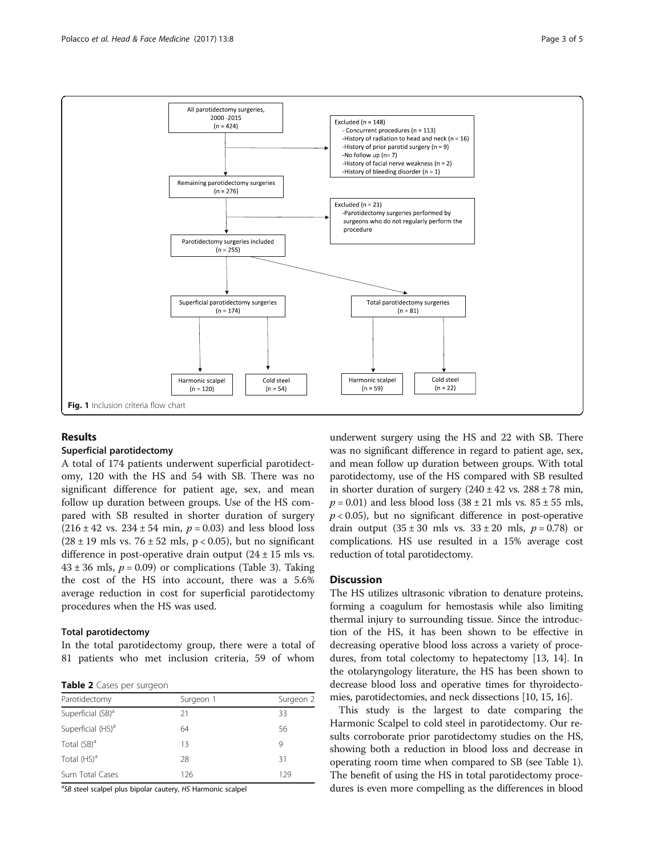<span id="page-2-0"></span>

## Results

## Superficial parotidectomy

A total of 174 patients underwent superficial parotidectomy, 120 with the HS and 54 with SB. There was no significant difference for patient age, sex, and mean follow up duration between groups. Use of the HS compared with SB resulted in shorter duration of surgery  $(216 \pm 42 \text{ vs. } 234 \pm 54 \text{ min}, p = 0.03)$  and less blood loss  $(28 \pm 19 \text{ mls vs. } 76 \pm 52 \text{ mls}, p < 0.05)$ , but no significant difference in post-operative drain output  $(24 \pm 15 \text{ m/s} \cdot \text{s})$ .  $43 \pm 36$  $43 \pm 36$  $43 \pm 36$  mls,  $p = 0.09$ ) or complications (Table 3). Taking the cost of the HS into account, there was a 5.6% average reduction in cost for superficial parotidectomy procedures when the HS was used.

## Total parotidectomy

In the total parotidectomy group, there were a total of 81 patients who met inclusion criteria, 59 of whom

Table 2 Cases per surgeon

| Parotidectomy                 | Surgeon 1 | Surgeon 2 |
|-------------------------------|-----------|-----------|
| Superficial (SB) <sup>a</sup> | 21        | 33        |
| Superficial (HS) <sup>a</sup> | 64        | 56        |
| Total (SB) <sup>a</sup>       | 13        | 9         |
| Total $(HS)^a$                | 28        | 31        |
| Sum Total Cases               | 126       | 129       |

<sup>a</sup>SB steel scalpel plus bipolar cautery, HS Harmonic scalpel

underwent surgery using the HS and 22 with SB. There was no significant difference in regard to patient age, sex, and mean follow up duration between groups. With total parotidectomy, use of the HS compared with SB resulted in shorter duration of surgery  $(240 \pm 42 \text{ vs. } 288 \pm 78 \text{ min},$  $p = 0.01$ ) and less blood loss  $(38 \pm 21 \text{ mls vs. } 85 \pm 55 \text{ mls})$  $p < 0.05$ ), but no significant difference in post-operative drain output  $(35 \pm 30 \text{ mls vs. } 33 \pm 20 \text{ mls}, p = 0.78)$  or complications. HS use resulted in a 15% average cost reduction of total parotidectomy.

### **Discussion**

The HS utilizes ultrasonic vibration to denature proteins, forming a coagulum for hemostasis while also limiting thermal injury to surrounding tissue. Since the introduction of the HS, it has been shown to be effective in decreasing operative blood loss across a variety of procedures, from total colectomy to hepatectomy [\[13, 14\]](#page-4-0). In the otolaryngology literature, the HS has been shown to decrease blood loss and operative times for thyroidectomies, parotidectomies, and neck dissections [\[10, 15](#page-4-0), [16](#page-4-0)].

This study is the largest to date comparing the Harmonic Scalpel to cold steel in parotidectomy. Our results corroborate prior parotidectomy studies on the HS, showing both a reduction in blood loss and decrease in operating room time when compared to SB (see Table [1](#page-1-0)). The benefit of using the HS in total parotidectomy procedures is even more compelling as the differences in blood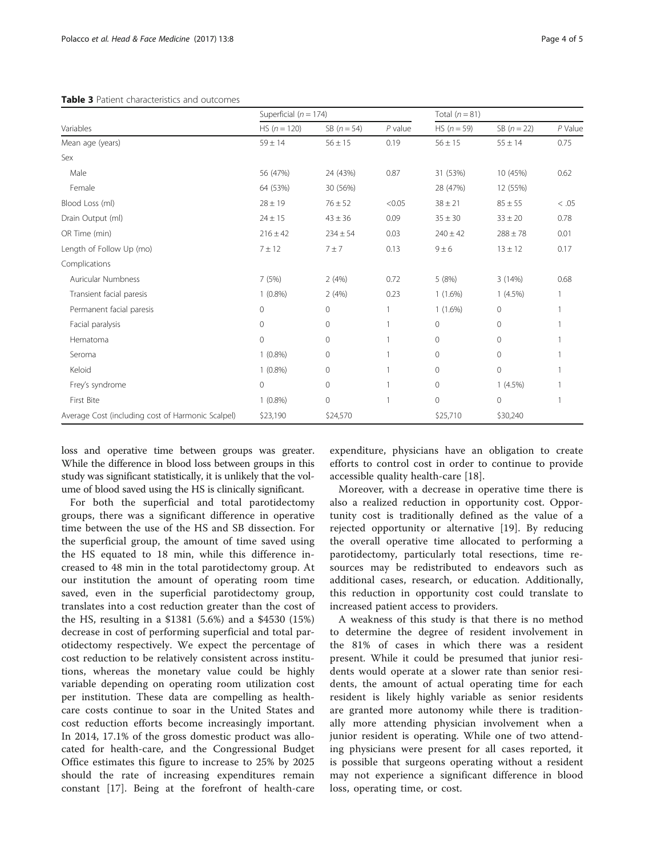<span id="page-3-0"></span>Table 3 Patient characteristics and outcomes

|                                                   | Superficial ( $n = 174$ ) |                     |           | Total $(n = 81)$ |               |         |
|---------------------------------------------------|---------------------------|---------------------|-----------|------------------|---------------|---------|
| Variables                                         | $HS (n = 120)$            | $SB (n = 54)$       | $P$ value | $HS (n = 59)$    | $SB (n = 22)$ | P Value |
| Mean age (years)                                  | $59 \pm 14$               | $56 \pm 15$         | 0.19      | $56 \pm 15$      | $55 \pm 14$   | 0.75    |
| Sex                                               |                           |                     |           |                  |               |         |
| Male                                              | 56 (47%)                  | 24 (43%)            | 0.87      | 31 (53%)         | 10 (45%)      | 0.62    |
| Female                                            | 64 (53%)                  | 30 (56%)            |           | 28 (47%)         | 12 (55%)      |         |
| Blood Loss (ml)                                   | $28 \pm 19$               | $76 \pm 52$         | < 0.05    | $38 \pm 21$      | $85 \pm 55$   | < .05   |
| Drain Output (ml)                                 | $24 \pm 15$               | $43 \pm 36$         | 0.09      | $35 \pm 30$      | $33 \pm 20$   | 0.78    |
| OR Time (min)                                     | $216 \pm 42$              | $234 \pm 54$        | 0.03      | $240 \pm 42$     | $288 \pm 78$  | 0.01    |
| Length of Follow Up (mo)                          | $7 + 12$                  | 7±7                 | 0.13      | $9 \pm 6$        | $13 \pm 12$   | 0.17    |
| Complications                                     |                           |                     |           |                  |               |         |
| Auricular Numbness                                | 7(5%)                     | 2(4%)               | 0.72      | 5(8%)            | 3(14%)        | 0.68    |
| Transient facial paresis                          | $1(0.8\%)$                | 2(4%)               | 0.23      | $1(1.6\%)$       | $1(4.5\%)$    |         |
| Permanent facial paresis                          | $\circ$                   | $\mathsf{O}\xspace$ |           | $1(1.6\%)$       | $\mathbf{0}$  |         |
| Facial paralysis                                  | 0                         | $\mathsf{O}\xspace$ |           | $\circ$          | 0             |         |
| Hematoma                                          | $\Omega$                  | $\circ$             |           | $\circ$          | $\Omega$      |         |
| Seroma                                            | $1(0.8\%)$                | 0                   |           | $\circ$          | 0             |         |
| Keloid                                            | $1(0.8\%)$                | $\mathbf 0$         |           | $\circ$          | 0             |         |
| Frey's syndrome                                   | $\overline{0}$            | $\mathbf 0$         |           | $\circ$          | $1(4.5\%)$    |         |
| First Bite                                        | $1(0.8\%)$                | $\mathsf{O}\xspace$ |           | 0                | 0             |         |
| Average Cost (including cost of Harmonic Scalpel) | \$23,190                  | \$24,570            |           | \$25,710         | \$30,240      |         |

loss and operative time between groups was greater. While the difference in blood loss between groups in this study was significant statistically, it is unlikely that the volume of blood saved using the HS is clinically significant.

For both the superficial and total parotidectomy groups, there was a significant difference in operative time between the use of the HS and SB dissection. For the superficial group, the amount of time saved using the HS equated to 18 min, while this difference increased to 48 min in the total parotidectomy group. At our institution the amount of operating room time saved, even in the superficial parotidectomy group, translates into a cost reduction greater than the cost of the HS, resulting in a \$1381 (5.6%) and a \$4530 (15%) decrease in cost of performing superficial and total parotidectomy respectively. We expect the percentage of cost reduction to be relatively consistent across institutions, whereas the monetary value could be highly variable depending on operating room utilization cost per institution. These data are compelling as healthcare costs continue to soar in the United States and cost reduction efforts become increasingly important. In 2014, 17.1% of the gross domestic product was allocated for health-care, and the Congressional Budget Office estimates this figure to increase to 25% by 2025 should the rate of increasing expenditures remain constant [[17\]](#page-4-0). Being at the forefront of health-care expenditure, physicians have an obligation to create efforts to control cost in order to continue to provide accessible quality health-care [\[18](#page-4-0)].

Moreover, with a decrease in operative time there is also a realized reduction in opportunity cost. Opportunity cost is traditionally defined as the value of a rejected opportunity or alternative [\[19](#page-4-0)]. By reducing the overall operative time allocated to performing a parotidectomy, particularly total resections, time resources may be redistributed to endeavors such as additional cases, research, or education. Additionally, this reduction in opportunity cost could translate to increased patient access to providers.

A weakness of this study is that there is no method to determine the degree of resident involvement in the 81% of cases in which there was a resident present. While it could be presumed that junior residents would operate at a slower rate than senior residents, the amount of actual operating time for each resident is likely highly variable as senior residents are granted more autonomy while there is traditionally more attending physician involvement when a junior resident is operating. While one of two attending physicians were present for all cases reported, it is possible that surgeons operating without a resident may not experience a significant difference in blood loss, operating time, or cost.